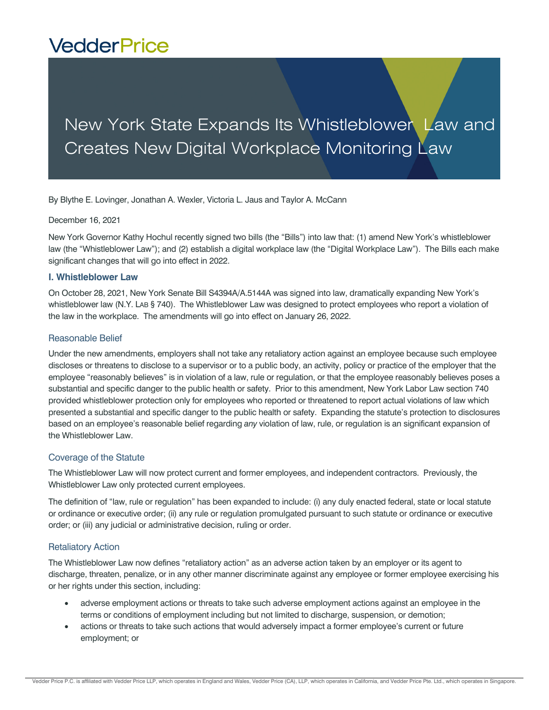# **VedderPrice**

## New York State Expands Its Whistleblower Law and Creates New Digital Workplace Monitoring Law

By Blythe E. Lovinger, Jonathan A. Wexler, Victoria L. Jaus and Taylor A. McCann

#### December 16, 2021

New York Governor Kathy Hochul recently signed two bills (the "Bills") into law that: (1) amend New York's whistleblower law (the "Whistleblower Law"); and (2) establish a digital workplace law (the "Digital Workplace Law"). The Bills each make significant changes that will go into effect in 2022.

## **I. Whistleblower Law**

On October 28, 2021, New York Senate Bill S4394A/A.5144A was signed into law, dramatically expanding New York's whistleblower law (N.Y. LAB § 740). The Whistleblower Law was designed to protect employees who report a violation of the law in the workplace. The amendments will go into effect on January 26, 2022.

## Reasonable Belief

Under the new amendments, employers shall not take any retaliatory action against an employee because such employee discloses or threatens to disclose to a supervisor or to a public body, an activity, policy or practice of the employer that the employee "reasonably believes" is in violation of a law, rule or regulation, or that the employee reasonably believes poses a substantial and specific danger to the public health or safety. Prior to this amendment, New York Labor Law section 740 provided whistleblower protection only for employees who reported or threatened to report actual violations of law which presented a substantial and specific danger to the public health or safety. Expanding the statute's protection to disclosures based on an employee's reasonable belief regarding *any* violation of law, rule, or regulation is an significant expansion of the Whistleblower Law.

## Coverage of the Statute

The Whistleblower Law will now protect current and former employees, and independent contractors. Previously, the Whistleblower Law only protected current employees.

The definition of "law, rule or regulation" has been expanded to include: (i) any duly enacted federal, state or local statute or ordinance or executive order; (ii) any rule or regulation promulgated pursuant to such statute or ordinance or executive order; or (iii) any judicial or administrative decision, ruling or order.

## Retaliatory Action

The Whistleblower Law now defines "retaliatory action" as an adverse action taken by an employer or its agent to discharge, threaten, penalize, or in any other manner discriminate against any employee or former employee exercising his or her rights under this section, including:

- adverse employment actions or threats to take such adverse employment actions against an employee in the terms or conditions of employment including but not limited to discharge, suspension, or demotion;
- actions or threats to take such actions that would adversely impact a former employee's current or future employment; or